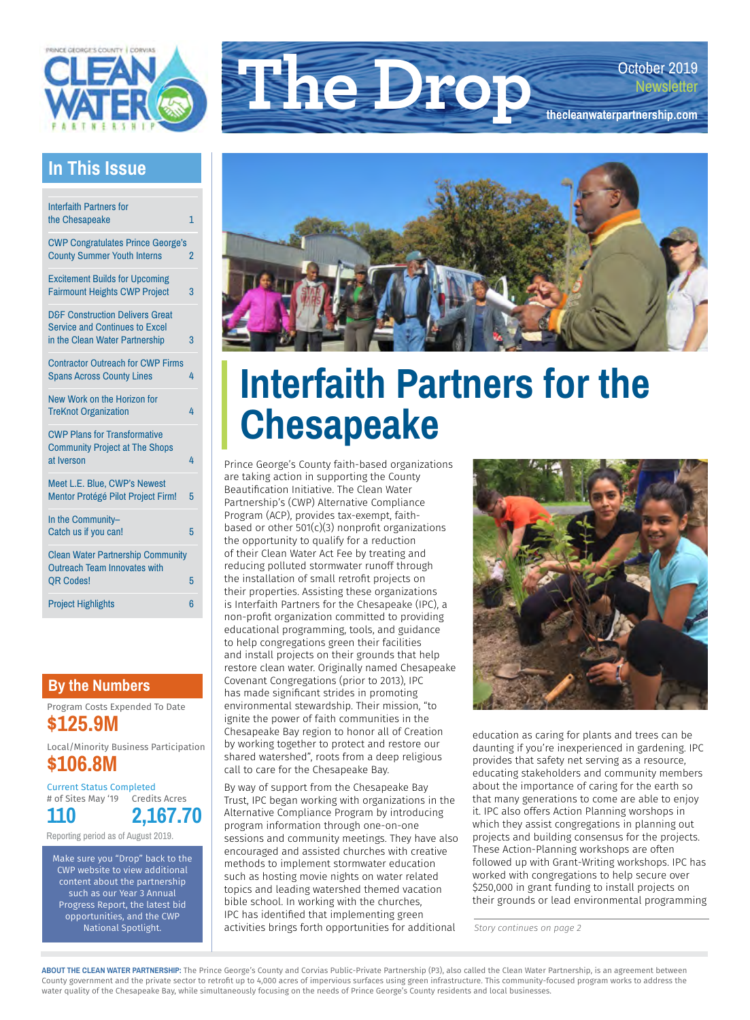

### **The Drop** October 2019 **[thecleanwaterpartnership.com](http://thecleanwaterpartnership.com)**

#### **In This Issue**

| <b>Interfaith Partners for</b>                                                                                        |   |
|-----------------------------------------------------------------------------------------------------------------------|---|
| the Chesapeake                                                                                                        | 1 |
| <b>CWP Congratulates Prince George's</b><br><b>County Summer Youth Interns</b>                                        | 2 |
| <b>Excitement Builds for Upcoming</b><br><b>Fairmount Heights CWP Project</b>                                         | 3 |
| <b>D&amp;F Construction Delivers Great</b><br><b>Service and Continues to Excel</b><br>in the Clean Water Partnership | 3 |
| <b>Contractor Outreach for CWP Firms</b><br><b>Spans Across County Lines</b>                                          | 4 |
| New Work on the Horizon for<br><b>TreKnot Organization</b>                                                            | 4 |
| <b>CWP Plans for Transformative</b><br><b>Community Project at The Shops</b><br>at Iverson                            | 4 |
| Meet L.E. Blue, CWP's Newest<br>Mentor Protégé Pilot Project Firm!                                                    | 5 |
| In the Community-<br>Catch us if you can!                                                                             | 5 |
| <b>Clean Water Partnership Community</b><br><b>Outreach Team Innovates with</b><br><b>QR Codes!</b>                   | 5 |
| <b>Project Highlights</b>                                                                                             | 6 |

#### **By the Numbers**

Program Costs Expended To Date **\$125.9M**

Local/Minority Business Participation **\$106.8M**

Current Status Completed # of Sites May '19 **110** Credits Acres **2,167.70**

Reporting period as of August 2019.

Make sure you "Drop" back to the CWP website to view additional content about the partnership such as our Year 3 Annual Progress Report, the latest bid opportunities, and the CWP National Spotlight.



### **Interfaith Partners for the Chesapeake**

Prince George's County faith-based organizations are taking action in supporting the County Beautification Initiative. The Clean Water Partnership's (CWP) Alternative Compliance Program (ACP), provides tax-exempt, faithbased or other 501(c)(3) nonprofit organizations the opportunity to qualify for a reduction of their Clean Water Act Fee by treating and reducing polluted stormwater runoff through the installation of small retrofit projects on their properties. Assisting these organizations is Interfaith Partners for the Chesapeake (IPC), a non-profit organization committed to providing educational programming, tools, and guidance to help congregations green their facilities and install projects on their grounds that help restore clean water. Originally named Chesapeake Covenant Congregations (prior to 2013), IPC has made significant strides in promoting environmental stewardship. Their mission, "to ignite the power of faith communities in the Chesapeake Bay region to honor all of Creation by working together to protect and restore our shared watershed", roots from a deep religious call to care for the Chesapeake Bay.

By way of support from the Chesapeake Bay Trust, IPC began working with organizations in the Alternative Compliance Program by introducing program information through one-on-one sessions and community meetings. They have also encouraged and assisted churches with creative methods to implement stormwater education such as hosting movie nights on water related topics and leading watershed themed vacation bible school. In working with the churches, IPC has identified that implementing green activities brings forth opportunities for additional



education as caring for plants and trees can be daunting if you're inexperienced in gardening. IPC provides that safety net serving as a resource, educating stakeholders and community members about the importance of caring for the earth so that many generations to come are able to enjoy it. IPC also offers Action Planning worshops in which they assist congregations in planning out projects and building consensus for the projects. These Action-Planning workshops are often followed up with Grant-Writing workshops. IPC has worked with congregations to help secure over \$250,000 in grant funding to install projects on their grounds or lead environmental programming

*Story continues on page 2*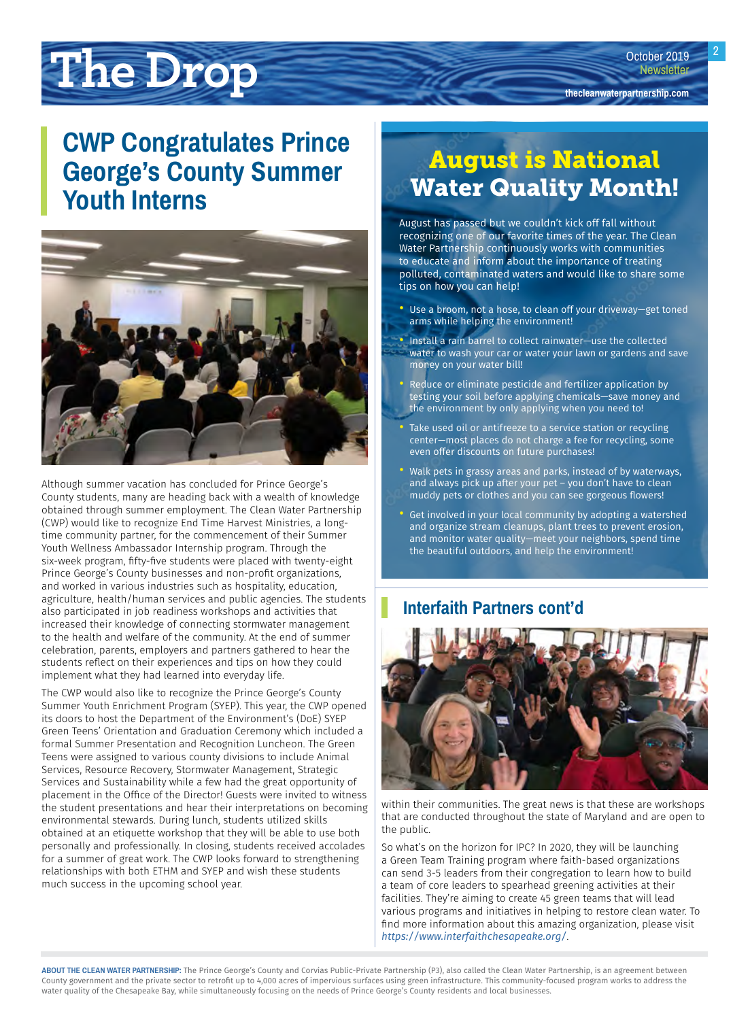# <span id="page-1-0"></span>**The Drop the Containst Constant Constant Constant Constant Constant Constant Constant Constant Constant Constant Constant Constant Constant Constant Constant Constant Constant Constant Constant Constant Constant Constan**

### **CWP Congratulates Prince George's County Summer Youth Interns**



Although summer vacation has concluded for Prince George's County students, many are heading back with a wealth of knowledge obtained through summer employment. The Clean Water Partnership (CWP) would like to recognize End Time Harvest Ministries, a longtime community partner, for the commencement of their Summer Youth Wellness Ambassador Internship program. Through the six-week program, fifty-five students were placed with twenty-eight Prince George's County businesses and non-profit organizations, and worked in various industries such as hospitality, education, agriculture, health/human services and public agencies. The students also participated in job readiness workshops and activities that increased their knowledge of connecting stormwater management to the health and welfare of the community. At the end of summer celebration, parents, employers and partners gathered to hear the students reflect on their experiences and tips on how they could implement what they had learned into everyday life.

The CWP would also like to recognize the Prince George's County Summer Youth Enrichment Program (SYEP). This year, the CWP opened its doors to host the Department of the Environment's (DoE) SYEP Green Teens' Orientation and Graduation Ceremony which included a formal Summer Presentation and Recognition Luncheon. The Green Teens were assigned to various county divisions to include Animal Services, Resource Recovery, Stormwater Management, Strategic Services and Sustainability while a few had the great opportunity of placement in the Office of the Director! Guests were invited to witness the student presentations and hear their interpretations on becoming environmental stewards. During lunch, students utilized skills obtained at an etiquette workshop that they will be able to use both personally and professionally. In closing, students received accolades for a summer of great work. The CWP looks forward to strengthening relationships with both ETHM and SYEP and wish these students much success in the upcoming school year.

### August is National Water Quality Month!

August has passed but we couldn't kick off fall without recognizing one of our favorite times of the year. The Clean Water Partnership continuously works with communities to educate and inform about the importance of treating polluted, contaminated waters and would like to share some tips on how you can help!

- Use a broom, not a hose, to clean off your driveway—get toned arms while helping the environment!
- Install a rain barrel to collect rainwater—use the collected water to wash your car or water your lawn or gardens and save money on your water bill!
- Reduce or eliminate pesticide and fertilizer application by testing your soil before applying chemicals—save money and the environment by only applying when you need to!
- Take used oil or antifreeze to a service station or recycling center—most places do not charge a fee for recycling, some even offer discounts on future purchases!
- Walk pets in grassy areas and parks, instead of by waterways, and always pick up after your pet – you don't have to clean muddy pets or clothes and you can see gorgeous flowers!
- Get involved in your local community by adopting a watershed and organize stream cleanups, plant trees to prevent erosion, and monitor water quality—meet your neighbors, spend time the beautiful outdoors, and help the environment!

#### **Interfaith Partners cont'd**



within their communities. The great news is that these are workshops that are conducted throughout the state of Maryland and are open to the public.

So what's on the horizon for IPC? In 2020, they will be launching a Green Team Training program where faith-based organizations can send 3-5 leaders from their congregation to learn how to build a team of core leaders to spearhead greening activities at their facilities. They're aiming to create 45 green teams that will lead various programs and initiatives in helping to restore clean water. To find more information about this amazing organization, please visit *<https://www.interfaithchesapeake.org/>*.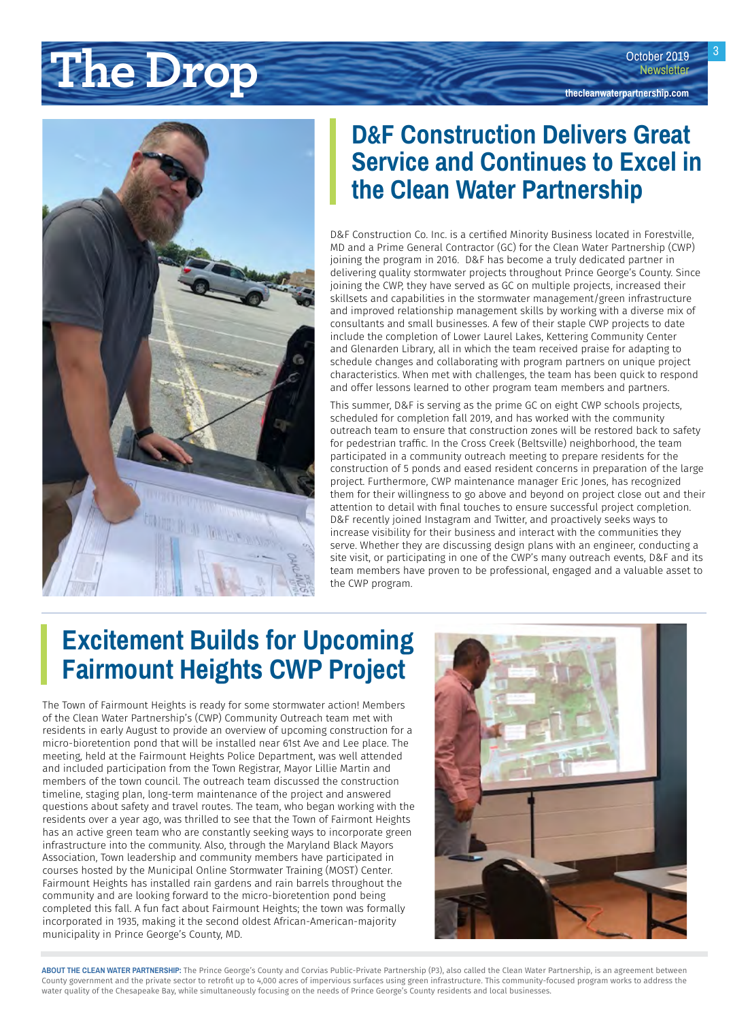## <span id="page-2-0"></span>**Newsletter Drop the Change of the Drop consert of the Drop consert of the Drop the Cleanwaterpartnership.com**



#### **D&F Construction Delivers Great Service and Continues to Excel in the Clean Water Partnership**

D&F Construction Co. Inc. is a certified Minority Business located in Forestville, MD and a Prime General Contractor (GC) for the Clean Water Partnership (CWP) joining the program in 2016. D&F has become a truly dedicated partner in delivering quality stormwater projects throughout Prince George's County. Since joining the CWP, they have served as GC on multiple projects, increased their skillsets and capabilities in the stormwater management/green infrastructure and improved relationship management skills by working with a diverse mix of consultants and small businesses. A few of their staple CWP projects to date include the completion of Lower Laurel Lakes, Kettering Community Center and Glenarden Library, all in which the team received praise for adapting to schedule changes and collaborating with program partners on unique project characteristics. When met with challenges, the team has been quick to respond and offer lessons learned to other program team members and partners.

This summer, D&F is serving as the prime GC on eight CWP schools projects, scheduled for completion fall 2019, and has worked with the community outreach team to ensure that construction zones will be restored back to safety for pedestrian traffic. In the Cross Creek (Beltsville) neighborhood, the team participated in a community outreach meeting to prepare residents for the construction of 5 ponds and eased resident concerns in preparation of the large project. Furthermore, CWP maintenance manager Eric Jones, has recognized them for their willingness to go above and beyond on project close out and their attention to detail with final touches to ensure successful project completion. D&F recently joined Instagram and Twitter, and proactively seeks ways to increase visibility for their business and interact with the communities they serve. Whether they are discussing design plans with an engineer, conducting a site visit, or participating in one of the CWP's many outreach events, D&F and its team members have proven to be professional, engaged and a valuable asset to the CWP program.

### **Excitement Builds for Upcoming Fairmount Heights CWP Project**

The Town of Fairmount Heights is ready for some stormwater action! Members of the Clean Water Partnership's (CWP) Community Outreach team met with residents in early August to provide an overview of upcoming construction for a micro-bioretention pond that will be installed near 61st Ave and Lee place. The meeting, held at the Fairmount Heights Police Department, was well attended and included participation from the Town Registrar, Mayor Lillie Martin and members of the town council. The outreach team discussed the construction timeline, staging plan, long-term maintenance of the project and answered questions about safety and travel routes. The team, who began working with the residents over a year ago, was thrilled to see that the Town of Fairmont Heights has an active green team who are constantly seeking ways to incorporate green infrastructure into the community. Also, through the Maryland Black Mayors Association, Town leadership and community members have participated in courses hosted by the Municipal Online Stormwater Training (MOST) Center. Fairmount Heights has installed rain gardens and rain barrels throughout the community and are looking forward to the micro-bioretention pond being completed this fall. A fun fact about Fairmount Heights; the town was formally incorporated in 1935, making it the second oldest African-American-majority municipality in Prince George's County, MD.

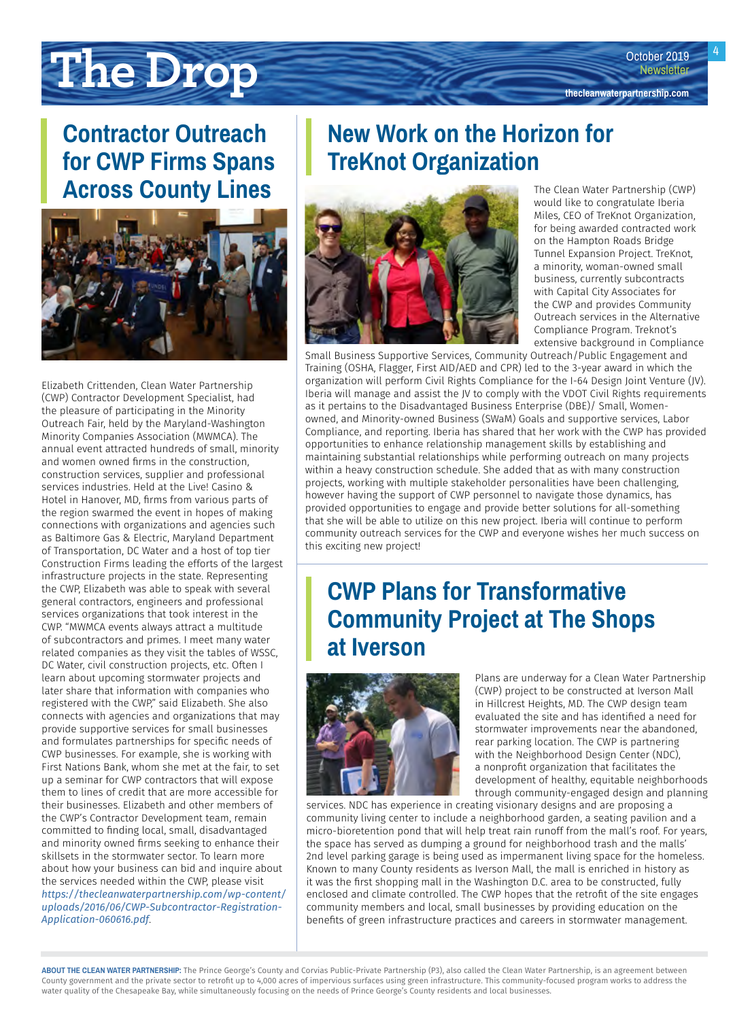# <span id="page-3-0"></span>**The Drop the Constanting Constanting Constanting Constanting Constanting Constanting Constant Presenting Constant Presenting Constant Presenting Constant Presenting Constant Presenting Constant Presenting Constant Prese**

#### **Contractor Outreach for CWP Firms Spans Across County Lines**



Elizabeth Crittenden, Clean Water Partnership (CWP) Contractor Development Specialist, had the pleasure of participating in the Minority Outreach Fair, held by the Maryland-Washington Minority Companies Association (MWMCA). The annual event attracted hundreds of small, minority and women owned firms in the construction, construction services, supplier and professional services industries. Held at the Live! Casino & Hotel in Hanover, MD, firms from various parts of the region swarmed the event in hopes of making connections with organizations and agencies such as Baltimore Gas & Electric, Maryland Department of Transportation, DC Water and a host of top tier Construction Firms leading the efforts of the largest infrastructure projects in the state. Representing the CWP, Elizabeth was able to speak with several general contractors, engineers and professional services organizations that took interest in the CWP. "MWMCA events always attract a multitude of subcontractors and primes. I meet many water related companies as they visit the tables of WSSC, DC Water, civil construction projects, etc. Often I learn about upcoming stormwater projects and later share that information with companies who registered with the CWP," said Elizabeth. She also connects with agencies and organizations that may provide supportive services for small businesses and formulates partnerships for specific needs of CWP businesses. For example, she is working with First Nations Bank, whom she met at the fair, to set up a seminar for CWP contractors that will expose them to lines of credit that are more accessible for their businesses. Elizabeth and other members of the CWP's Contractor Development team, remain committed to finding local, small, disadvantaged and minority owned firms seeking to enhance their skillsets in the stormwater sector. To learn more about how your business can bid and inquire about the services needed within the CWP, please visit *[https://thecleanwaterpartnership.com/wp-content/](https://thecleanwaterpartnership.com/wp-content/uploads/2016/06/CWP-Subcontractor-Registration-Application-060616.pdf) [uploads/2016/06/CWP-Subcontractor-Registration-](https://thecleanwaterpartnership.com/wp-content/uploads/2016/06/CWP-Subcontractor-Registration-Application-060616.pdf)[Application-060616.pdf](https://thecleanwaterpartnership.com/wp-content/uploads/2016/06/CWP-Subcontractor-Registration-Application-060616.pdf)*.

#### **New Work on the Horizon for TreKnot Organization**



The Clean Water Partnership (CWP) would like to congratulate Iberia Miles, CEO of TreKnot Organization, for being awarded contracted work on the Hampton Roads Bridge Tunnel Expansion Project. TreKnot, a minority, woman-owned small business, currently subcontracts with Capital City Associates for the CWP and provides Community Outreach services in the Alternative Compliance Program. Treknot's extensive background in Compliance

Small Business Supportive Services, Community Outreach/Public Engagement and Training (OSHA, Flagger, First AID/AED and CPR) led to the 3-year award in which the organization will perform Civil Rights Compliance for the I-64 Design Joint Venture (JV). Iberia will manage and assist the JV to comply with the VDOT Civil Rights requirements as it pertains to the Disadvantaged Business Enterprise (DBE)/ Small, Womenowned, and Minority-owned Business (SWaM) Goals and supportive services, Labor Compliance, and reporting. Iberia has shared that her work with the CWP has provided opportunities to enhance relationship management skills by establishing and maintaining substantial relationships while performing outreach on many projects within a heavy construction schedule. She added that as with many construction projects, working with multiple stakeholder personalities have been challenging, however having the support of CWP personnel to navigate those dynamics, has provided opportunities to engage and provide better solutions for all-something that she will be able to utilize on this new project. Iberia will continue to perform community outreach services for the CWP and everyone wishes her much success on this exciting new project!

#### **CWP Plans for Transformative Community Project at The Shops at Iverson**



Plans are underway for a Clean Water Partnership (CWP) project to be constructed at Iverson Mall in Hillcrest Heights, MD. The CWP design team evaluated the site and has identified a need for stormwater improvements near the abandoned, rear parking location. The CWP is partnering with the Neighborhood Design Center (NDC), a nonprofit organization that facilitates the development of healthy, equitable neighborhoods through community-engaged design and planning

services. NDC has experience in creating visionary designs and are proposing a community living center to include a neighborhood garden, a seating pavilion and a micro-bioretention pond that will help treat rain runoff from the mall's roof. For years, the space has served as dumping a ground for neighborhood trash and the malls' 2nd level parking garage is being used as impermanent living space for the homeless. Known to many County residents as Iverson Mall, the mall is enriched in history as it was the first shopping mall in the Washington D.C. area to be constructed, fully enclosed and climate controlled. The CWP hopes that the retrofit of the site engages community members and local, small businesses by providing education on the benefits of green infrastructure practices and careers in stormwater management.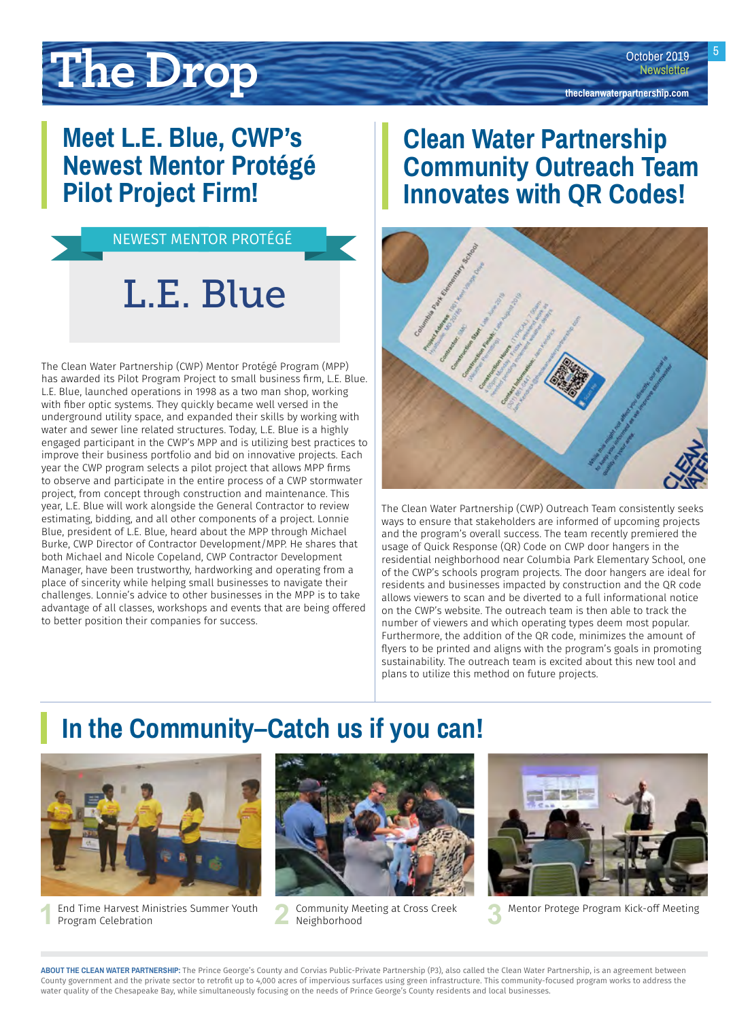# <span id="page-4-0"></span>**The Drop the Containing Constant of the Drop Constant President Constant President**<br> **The Drop the Cleanwaterpartnership.com**

### **Meet L.E. Blue, CWP's Newest Mentor Protégé Pilot Project Firm!**



The Clean Water Partnership (CWP) Mentor Protégé Program (MPP) has awarded its Pilot Program Project to small business firm, L.E. Blue. L.E. Blue, launched operations in 1998 as a two man shop, working with fiber optic systems. They quickly became well versed in the underground utility space, and expanded their skills by working with water and sewer line related structures. Today, L.E. Blue is a highly engaged participant in the CWP's MPP and is utilizing best practices to improve their business portfolio and bid on innovative projects. Each year the CWP program selects a pilot project that allows MPP firms to observe and participate in the entire process of a CWP stormwater project, from concept through construction and maintenance. This year, L.E. Blue will work alongside the General Contractor to review estimating, bidding, and all other components of a project. Lonnie Blue, president of L.E. Blue, heard about the MPP through Michael Burke, CWP Director of Contractor Development/MPP. He shares that both Michael and Nicole Copeland, CWP Contractor Development Manager, have been trustworthy, hardworking and operating from a place of sincerity while helping small businesses to navigate their challenges. Lonnie's advice to other businesses in the MPP is to take advantage of all classes, workshops and events that are being offered to better position their companies for success.

### **Clean Water Partnership Community Outreach Team Innovates with QR Codes!**



The Clean Water Partnership (CWP) Outreach Team consistently seeks ways to ensure that stakeholders are informed of upcoming projects and the program's overall success. The team recently premiered the usage of Quick Response (QR) Code on CWP door hangers in the residential neighborhood near Columbia Park Elementary School, one of the CWP's schools program projects. The door hangers are ideal for residents and businesses impacted by construction and the QR code allows viewers to scan and be diverted to a full informational notice on the CWP's website. The outreach team is then able to track the number of viewers and which operating types deem most popular. Furthermore, the addition of the QR code, minimizes the amount of flyers to be printed and aligns with the program's goals in promoting sustainability. The outreach team is excited about this new tool and plans to utilize this method on future projects.

### **In the Community–Catch us if you can!**



**1** End Time Harvest Ministries Summer Youth **2** Community Meeting at Cross Creek Program Celebration



Community Meeting at Cross Creek<br> **3** Mentor Protege Program Kick-off Meeting<br>
Neighborhood